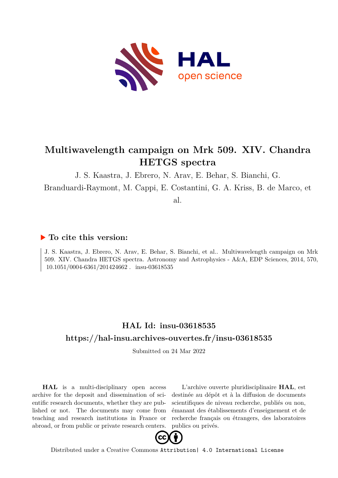

# **Multiwavelength campaign on Mrk 509. XIV. Chandra HETGS spectra**

J. S. Kaastra, J. Ebrero, N. Arav, E. Behar, S. Bianchi, G.

Branduardi-Raymont, M. Cappi, E. Costantini, G. A. Kriss, B. de Marco, et

al.

# **To cite this version:**

J. S. Kaastra, J. Ebrero, N. Arav, E. Behar, S. Bianchi, et al.. Multiwavelength campaign on Mrk 509. XIV. Chandra HETGS spectra. Astronomy and Astrophysics - A&A, EDP Sciences, 2014, 570,  $10.1051/0004-6361/201424662$ . insu-03618535

# **HAL Id: insu-03618535 <https://hal-insu.archives-ouvertes.fr/insu-03618535>**

Submitted on 24 Mar 2022

**HAL** is a multi-disciplinary open access archive for the deposit and dissemination of scientific research documents, whether they are published or not. The documents may come from teaching and research institutions in France or abroad, or from public or private research centers.

L'archive ouverte pluridisciplinaire **HAL**, est destinée au dépôt et à la diffusion de documents scientifiques de niveau recherche, publiés ou non, émanant des établissements d'enseignement et de recherche français ou étrangers, des laboratoires publics ou privés.



Distributed under a Creative Commons [Attribution| 4.0 International License](http://creativecommons.org/licenses/by/4.0/)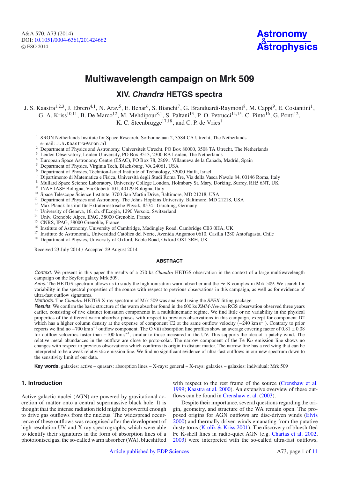

# **Multiwavelength campaign on Mrk 509**

# **XIV. Chandra HETGS spectra**

J. S. Kaastra<sup>1,2,3</sup>, J. Ebrero<sup>4,1</sup>, N. Arav<sup>5</sup>, E. Behar<sup>6</sup>, S. Bianchi<sup>7</sup>, G. Branduardi-Raymont<sup>8</sup>, M. Cappi<sup>9</sup>, E. Costantini<sup>1</sup>, G. A. Kriss<sup>10,11</sup>, B. De Marco<sup>12</sup>, M. Mehdipour<sup>8,1</sup>, S. Paltani<sup>13</sup>, P.-O. Petrucci<sup>14,15</sup>, C. Pinto<sup>16</sup>, G. Ponti<sup>12</sup>, K. C. Steenbrugge<sup>17,18</sup>, and C. P. de Vries<sup>1</sup>

<sup>1</sup> SRON Netherlands Institute for Space Research, Sorbonnelaan 2, 3584 CA Utrecht, The Netherlands e-mail: J.S.Kaastra@sron.nl

- <sup>2</sup> Department of Physics and Astronomy, Universiteit Utrecht, PO Box 80000, 3508 TA Utrecht, The Netherlands<br> $\frac{3}{2}$  Laidan Observatory, Laidan University, PO Box 0513, 2200 B A Laidan. The Netherlands
- Leiden Observatory, Leiden University, PO Box 9513, 2300 RA Leiden, The Netherlands
- <sup>4</sup> European Space Astronomy Centre (ESAC), PO Box 78, 28691 Villanueva de la Cañada, Madrid, Spain
- <sup>5</sup> Department of Physics, Virginia Tech, Blacksburg, VA 24061, USA
- <sup>6</sup> Department of Physics, Technion-Israel Institute of Technology, 32000 Haifa, Israel
- <sup>7</sup> Dipartimento di Matematica e Fisica, Università degli Studi Roma Tre, Via della Vasca Navale 84, 00146 Roma, Italy
- <sup>8</sup> Mullard Space Science Laboratory, University College London, Holmbury St. Mary, Dorking, Surrey, RH5 6NT, UK
- <sup>9</sup> INAF-IASF Bologna, Via Gobetti 101, 40129 Bologna, Italy
- <sup>10</sup> Space Telescope Science Institute, 3700 San Martin Drive, Baltimore, MD 21218, USA
- <sup>11</sup> Department of Physics and Astronomy, The Johns Hopkins University, Baltimore, MD 21218, USA
- <sup>12</sup> Max Planck Institut für Extraterrestrische Physik, 85741 Garching, Germany
- <sup>13</sup> University of Geneva, 16, ch. d'Ecogia, 1290 Versoix, Switzerland
- <sup>14</sup> Univ. Grenoble Alpes, IPAG, 38000 Grenoble, France
- <sup>15</sup> CNRS, IPAG, 38000 Grenoble, France
- <sup>16</sup> Institute of Astronomy, University of Cambridge, Madingley Road, Cambridge CB3 0HA, UK
- <sup>17</sup> Instituto de Astronomía, Universidad Católica del Norte, Avenida Angamos 0610, Casilla 1280 Antofagasta, Chile
- <sup>18</sup> Department of Physics, University of Oxford, Keble Road, Oxford OX1 3RH, UK

Received 23 July 2014 / Accepted 29 August 2014

# **ABSTRACT**

Context. We present in this paper the results of a 270 ks *Chandra* HETGS observation in the context of a large multiwavelength campaign on the Seyfert galaxy Mrk 509.

Aims. The HETGS spectrum allows us to study the high ionisation warm absorber and the Fe-K complex in Mrk 509. We search for variability in the spectral properties of the source with respect to previous observations in this campaign, as well as for evidence of ultra-fast outflow signatures.

Methods. The *Chandra* HETGS X-ray spectrum of Mrk 509 was analysed using the SPEX fitting package.

Results. We confirm the basic structure of the warm absorber found in the 600 ks *XMM-Newton* RGS observation observed three years earlier, consisting of five distinct ionisation components in a multikinematic regime. We find little or no variability in the physical properties of the different warm absorber phases with respect to previous observations in this campaign, except for component D2 which has a higher column density at the expense of component C2 at the same outflow velocity  $(-240 \text{ km s}^{-1})$ . Contrary to prior reports we find no <sup>−</sup>700 km s−<sup>1</sup> outflow component. The O viii absorption line profiles show an average covering factor of 0.<sup>81</sup> <sup>±</sup> <sup>0</sup>.<sup>08</sup> for outflow velocities faster than −100 km s−1, similar to those measured in the UV. This supports the idea of a patchy wind. The relative metal abundances in the outflow are close to proto-solar. The narrow component of the Fe K $\alpha$  emission line shows no changes with respect to previous observations which confirms its origin in distant matter. The narrow line has a red wing that can be interpreted to be a weak relativistic emission line. We find no significant evidence of ultra-fast outflows in our new spectrum down to the sensitivity limit of our data.

**Key words.** galaxies: active – quasars: absorption lines – X-rays: general – X-rays: galaxies – galaxies: individual: Mrk 509

# **1. Introduction**

Active galactic nuclei (AGN) are powered by gravitational accretion of matter onto a central supermassive black hole. It is thought that the intense radiation field might be powerful enough to drive gas outflows from the nucleus. The widespread occurrence of these outflows was recognised after the development of high-resolution UV and X-ray spectrographs, which were able to identify their signatures in the form of absorption lines of a photoionised gas, the so-called warm absorber (WA), blueshifted with respect to the rest frame of the source (Crenshaw et al. 1999; Kaastra et al. 2000). An extensive overview of these outflows can be found in Crenshaw et al. (2003).

Despite their importance, several questions regarding the origin, geometry, and structure of the WA remain open. The proposed origins for AGN outflows are disc-driven winds (Elvis 2000) and thermally driven winds emanating from the putative dusty torus (Krolik & Kriss 2001). The discovery of blueshifted Fe K-shell lines in radio-quiet AGN (e.g. Chartas et al. 2002, 2003) were interpreted with the so-called ultra-fast outflows,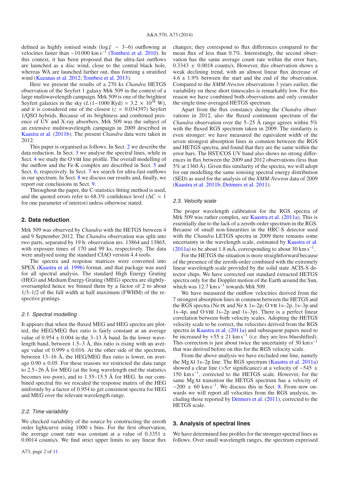defined as highly ionised winds (log  $\xi \sim 3-6$ ) outflowing at velocities faster than  $-10\,000 \text{ km s}^{-1}$  (Tombesi et al. 2010). In this context, it has been proposed that the ultra-fast outflows are launched as a disc wind, close to the central black hole, whereas WA are launched farther out, thus forming a stratified wind (Kazanas et al. 2012; Tombesi et al. 2013).

Here we present the results of a 270 ks *Chandra* HETGS observation of the Seyfert 1 galaxy Mrk 509 in the context of a large multiwavelength campaign. Mrk 509 is one of the brightest Seyfert galaxies in the sky  $(L(1-1000 \text{ Ryd}) = 3.2 \times 10^{38} \text{ W})$ , and it is considered one of the closest  $(z = 0.034397)$  Seyfert 1/QSO hybrids. Because of its brightness and confirmed presence of UV and X-ray absorbers, Mrk 509 was the subject of an extensive multiwavelength campaign in 2009 described in Kaastra et al. (2011b). The present *Chandra* data were taken in 2012.

This paper is organised as follows. In Sect. 2 we describe the data reduction. In Sect. 3 we analyse the spectral lines, while in Sect. 4 we study the O VIII line profile. The overall modelling of the outflow and the Fe-K complex are described in Sect. 5 and Sect. 6, respectively. In Sect. 7 we search for ultra-fast outflows in our spectrum. In Sect. 8 we discuss our results and, finally, we report our conclusions in Sect. 9.

Throughout the paper, the C-statistics fitting method is used, and the quoted errors refer to 68.3% confidence level ( $\Delta C = 1$ ) for one parameter of interest) unless otherwise stated.

# **2. Data reduction**

Mrk 509 was observed by *Chandra* with the HETGS between 4 and 9 September 2012. The *Chandra* observation was split into two parts, separated by 19 h: observation nrs. 13864 and 13865, with exposure times of 170 and 99 ks, respectively. The data were analysed using the standard CIAO version 4.4 tools.

The spectra and response matrices were converted into SPEX (Kaastra et al. 1996) format, and that package was used for all spectral analysis. The standard High Energy Grating (HEG) and Medium Energy Grating (MEG) spectra are slightlyoversampled hence we binned them by a factor of 2 to about  $1/3-1/2$  of the full width at half maximum (FWHM) of the respective gratings.

## 2.1. Spectral modelling

It appears that when the fluxed MEG and HEG spectra are plotted, the HEG/MEG flux ratio is fairly constant at an average value of  $0.954 \pm 0.004$  in the 3–13 Å band. In the lower wavelength band, between 1.5–3 Å, this ratio is rising with an average value of  $0.999 \pm 0.016$ . At the other side of the spectrum, between 13–16 Å, the HEG/MEG flux ratio is lower, on average  $0.90 \pm 0.05$ . For these reasons we restricted the data range to 2.5−26 Å for MEG (at the long wavelength end the statistics becomes too poor), and to 1.55–15.5 Å for HEG. In our combined spectral fits we rescaled the response matrix of the HEG uniformly by a factor of 0.954 to get consistent spectra for HEG and MEG over the relevant wavelength range.

### 2.2. Time variability

We checked variability of the source by constructing the zeroth order lightcurve using 1000 s bins. For the first observation, the average count rate was constant at a value of  $0.3351 \pm$ <sup>0</sup>.0014 counts/s. We find strict upper limits to any linear flux changes; they correspond to flux differences compared to the mean flux of less than 0.7%. Interestingly, the second observation has the same average count rate within the error bars,  $0.3343 \pm 0.0018$  counts/s. However, this observation shows a weak declining trend, with an almost linear flux decrease of  $4.6 \pm 1.9\%$  between the start and the end of the observation. Compared to the *XMM-Newton* observations 3 years earlier, the variability on these short timescales is remarkably low. For this reason we have combined both observations and only consider the single time-averaged HETGS spectrum.

Apart from the flux constancy during the *Chandra* observations in 2012, also the fluxed continuum spectrum of the *Chandra* observation over the 5–25 Å range agrees within 5% with the fluxed RGS spectrum taken in 2009. The similarity is even stronger: we have measured the equivalent width of the seven strongest absorption lines in common between the RGS and HETGS spectra, and found that they are the same within the error bars. The HST/COS UV band also shows no strong differences in flux between the 2009 and 2012 observations (less than 5% at 1360 Å). Given this similarity of the spectra, we will adopt for our modelling the same ionising spectral energy distribution (SED) as used for the analysis of the *XMM-Newton* data of 2009 (Kaastra et al. 2011b; Detmers et al. 2011).

# 2.3. Velocity scale

The proper wavelength calibration for the RGS spectra of Mrk 509 was rather complex, see Kaastra et al. (2011a). This is essentially due to the lack of a zeroth-order spectrum in the RGS. Because of small non-linearities in the HRC-S detector used with the *Chandra* LETGS spectra in 2009 there remains some uncertainty in the wavelength scale, estimated by Kaastra et al.  $(2011a)$  to be about 1.8 mÅ, corresponding to about 30 km s<sup>-1</sup>.

For the HETGS the situation is more straightforward because of the presence of the zeroth-order combined with the extremely linear wavelength scale provided by the solid state ACIS-S detector chips. We have corrected our standard extracted HETGS spectra only for the Doppler motion of the Earth around the Sun, which was 12.7 km s<sup>-1</sup> towards Mrk 509.

We have measured the outflow velocities derived from the 7 strongest absorption lines in common between the HETGS and the RGS spectra (Ne ix and Ne x 1s–2p; O vii 1s–2p, 1s–3p and 1s–4p, and O vIII 1s–2p and 1s–3p). There is a perfect linear correlation between both velocity scales. Adopting the HETGS velocity scale to be correct, the velocities derived from the RGS spectra in Kaastra et al. (2011a) and subsequent papers need to be increased by  $+55 \pm 21$  km s<sup>-1</sup> (i.e. they are less blueshifted). This correction is just about twice the uncertainty of 30 km s<sup> $-1$ </sup> that was derived before on this for the RGS velocity scale.

From the above analysis we have excluded one line, namely the Mg xi 1s–2p line. The RGS spectrum (Kaastra et al. 2011a) showed a clear line (>5 $\sigma$  significance) at a velocity of -545  $\pm$ 150 km s−1, corrected to the HETGS scale. However, for the same Mg xi transition the HETGS spectrum has a velocity of  $-200 \pm 60$  km s<sup>-1</sup>. We discuss this in Sect. 8. From now onwards we will report all velocities from the RGS analysis, including those reported by Detmers et al. (2011), corrected to the HETGS scale.

## **3. Analysis of spectral lines**

We have determined line profiles for the stronger spectral lines as follows. Over small wavelength ranges, the spectrum expressed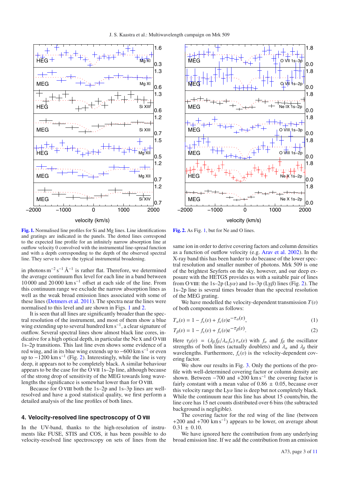

**[Fig. 1.](http://dexter.edpsciences.org/applet.php?DOI=10.1051/0004-6361/201424662&pdf_id=1)** Normalised line profiles for Si and Mg lines. Line identifications and gratings are indicated in the panels. The dotted lines correspond to the expected line profile for an infinitely narrow absorption line at outflow velocity 0 convolved with the instrumental line-spread function and with a depth corresponding to the depth of the observed spectral line. They serve to show the typical instrumental broadening.

in photons  $m^{-2} s^{-1} \text{ Å}^{-1}$  is rather flat. Therefore, we determined the average continuum flux level for each line in a band between 10 000 and 20 000 km s−<sup>1</sup> offset at each side of the line. From this continuum range we exclude the narrow absorption lines as well as the weak broad emission lines associated with some of these lines (Detmers et al. 2011). The spectra near the lines were normalised to this level and are shown in Figs. 1 and 2.

It is seen that all lines are significantly broader than the spectral resolution of the instrument, and most of them show a blue wing extending up to several hundred km s<sup>-1</sup>, a clear signature of outflow. Several spectral lines show almost black line cores, indicative for a high optical depth, in particular the Ne  $x$  and  $O$  VIII 1s–2p transitions. This last line even shows some evidence of a red wing, and in its blue wing extends up to  $-600 \text{ km s}^{-1}$  or even up to  $-1200 \text{ km s}^{-1}$  (Fig. 2). Interestingly, while the line is very deep, it appears not to be completely black. A similar behaviour appears to be the case for the O vii 1s–2p line, although because of the strong drop of sensitivity of the MEG towards long wavelengths the significance is somewhat lower than for O VIII.

Because for O VIII both the 1s–2p and 1s–3p lines are wellresolved and have a good statistical quality, we first perform a detailed analysis of the line profiles of both lines.

# **4. Velocity-resolved line spectroscopy of O** viii

In the UV-band, thanks to the high-resolution of instruments like FUSE, STIS and COS, it has been possible to do velocity-resolved line spectroscopy on sets of lines from the



**[Fig. 2.](http://dexter.edpsciences.org/applet.php?DOI=10.1051/0004-6361/201424662&pdf_id=2)** As Fig. 1, but for Ne and O lines.

same ion in order to derive covering factors and column densities as a function of outflow velocity (e.g. Arav et al. 2002). In the X-ray band this has been harder to do because of the lower spectral resolution and smaller number of photons. Mrk 509 is one of the brightest Seyferts on the sky, however, and our deep exposure with the HETGS provides us with a suitable pair of lines from O VIII: the 1s–2p ( $Ly\alpha$ ) and 1s–3p ( $Ly\beta$ ) lines (Fig. 2). The 1s–2p line is several times broader than the spectral resolution of the MEG grating.

We have modelled the velocity-dependent transmission  $T(v)$ of both components as follows:

$$
T_{\alpha}(v) = 1 - f_{c}(v) + f_{c}(v)e^{-\tau_{\alpha}(v)},
$$
\n(1)

$$
T_{\beta}(v) = 1 - f_{c}(v) + f_{c}(v)e^{-\tau_{\beta}(v)}.
$$
 (2)

Here  $\tau_{\beta}(v) = (\lambda_{\beta} f_{\beta}/\lambda_{\alpha} f_{\alpha}) \tau_{\alpha}(v)$  with  $f_{\alpha}$  and  $f_{\beta}$  the oscillator strengths of both lines (actually doublets) and  $\lambda_{\alpha}$  and  $\lambda_{\beta}$  their strengths of both lines (actually doublets) and  $\lambda_{\alpha}$  and  $\lambda_{\beta}$  their wavelengths. Furthermore,  $f_c(v)$  is the velocity-dependent covering factor.

We show our results in Fig. 3. Only the portions of the profile with well-determined covering factor or column density are shown. Between  $-700$  and  $+200$  km s<sup>-1</sup> the covering factor is fairly constant with a mean value of  $0.86 \pm 0.05$ , because over this velocity range the  $Ly\alpha$  line is deep but not completely black. While the continuum near this line has about 15 counts/bin, the line core has 15 net counts distributed over 6 bins (the subtracted background is negligible).

The covering factor for the red wing of the line (between +200 and +700 km s<sup>-1</sup>) appears to be lower, on average about  $0.31 \pm 0.10$ .

We have ignored here the contribution from any underlying broad emission line. If we add the contribution from an emission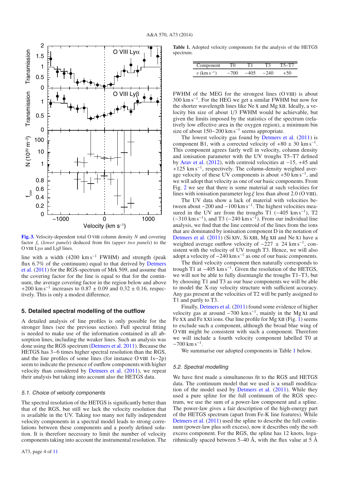

**[Fig. 3.](http://dexter.edpsciences.org/applet.php?DOI=10.1051/0004-6361/201424662&pdf_id=3)** Velocity-dependent total O VIII column density *N* and covering factor *f*<sup>c</sup> (*lower panels*) deduced from fits (*upper two panels*) to the O VIII Ly $\alpha$  and Ly $\beta$  lines.

line with a width  $(4200 \text{ km s}^{-1}$  FWHM) and strength (peak flux 6.7% of the continuum) equal to that derived by Detmers et al. (2011) for the RGS-spectrum of Mrk 509, and assume that the covering factor for the line is equal to that for the continuum, the average covering factor in the region below and above +200 km s<sup>-1</sup> increases to  $0.87 \pm 0.09$  and  $0.32 \pm 0.16$ , respectively. This is only a modest difference.

# **5. Detailed spectral modelling of the outflow**

A detailed analysis of line profiles is only possible for the stronger lines (see the previous section). Full spectral fitting is needed to make use of the information contained in all absorption lines, including the weaker lines. Such an analysis was done using the RGS spectrum (Detmers et al. 2011). Because the HETGS has 3–6 times higher spectral resolution than the RGS. and the line profiles of some lines (for instance O vIII 1s−2p) seem to indicate the presence of outflow components with higher velocity than considered by Detmers et al. (2011), we repeat their analysis but taking into account also the HETGS data.

# 5.1. Choice of velocity components

The spectral resolution of the HETGS is significantly better than that of the RGS, but still we lack the velocity resolution that is available in the UV. Taking too many not fully independent velocity components in a spectral model leads to strong correlations between these components and a poorly defined solution. It is therefore necessary to limit the number of velocity components taking into account the instrumental resolution. The

**Table 1.** Adopted velocity components for the analysis of the HETGS spectrum.

| Component | U |  |  |
|-----------|---|--|--|
|           |   |  |  |

FWHM of the MEG for the strongest lines (O VIII) is about 300 km s−1. For the HEG we get a similar FWHM but now for the shorter wavelength lines like Ne x and Mg XII. Ideally, a velocity bin size of about 1/3 FWHM would be achievable, but given the limits imposed by the statistics of the spectrum (relatively low effective area in the oxygen region), a minimum bin size of about  $150-200$  km s<sup>-1</sup> seems appropriate.

The lowest velocity gas found by Detmers et al. (2011) is component B1, with a corrected velocity of  $+80 \pm 30$  km s<sup>-1</sup>. This component agrees fairly well in velocity, column density and ionisation parameter with the UV troughs T5–T7 defined by Arav et al. (2012), with centroid velocities at −15, +45 and  $+125$  km s<sup>-1</sup>, respectively. The column-density weighted average velocity of these UV components is about  $+50 \text{ km s}^{-1}$ , and we will adopt that velocity as one of our basic components. From Fig. 2 we see that there is some material at such velocities for lines with ionisation parameter  $\log \xi$  less than about 2.0 (O VIII).

The UV data show a lack of material with velocities between about  $-200$  and  $-100$  km s<sup>-1</sup>. The highest velocities measured in the UV are from the troughs T1  $(-405 \text{ km s}^{-1})$ , T2  $(-310 \text{ km s}^{-1})$ , and T3  $(-240 \text{ km s}^{-1})$ . From our individual line analysis, we find that the line centroid of the lines from the ions that are dominated by ionisation component D in the notation of Detmers et al. (2011) (Si XIV, Si XIII, Mg XII and Ne X) have a weighted average outflow velocity of  $-227 \pm 24$  km s<sup>-1</sup>, consistent with the velocity of UV trough T3. Hence, we will also adopt a velocity of  $-240 \text{ km s}^{-1}$  as one of our basic components.

The third velocity component then naturally corresponds to trough T1 at  $-405 \text{ km s}^{-1}$ . Given the resolution of the HETGS, we will not be able to fully disentangle the troughs T1–T3, but by choosing T1 and T3 as our base components we will be able to model the X-ray velocity structure with sufficient accuracy. Any gas present at the velocities of T2 will be partly assigned to T1 and partly to T3.

Finally, Detmers et al. (2011) found some evidence of higher velocity gas at around  $-700 \text{ km s}^{-1}$ , mainly in the Mg XI and Fe XX and Fe XXI ions. Our line profile for Mg XII (Fig. 1) seems to exclude such a component, although the broad blue wing of O VIII might be consistent with such a component. Therefore we will include a fourth velocity component labelled T0 at  $-700$  km s<sup>-1</sup>.

We summarise our adopted components in Table 1 below.

# 5.2. Spectral modelling

We have first made a simultaneous fit to the RGS and HETGS data. The continuum model that we used is a small modification of the model used by Detmers et al. (2011). While they used a pure spline for the full continuum of the RGS spectrum, we use the sum of a power-law component and a spline. The power-law gives a fair description of the high-energy part of the HETGS spectrum (apart from Fe-K line features). While Detmers et al. (2011) used the spline to describe the full continuum (power-law plus soft excess), now it describes only the soft excess component. For the RGS, the spline has 12 knots, logarithmically spaced between 5–40 Å, with the flux value at 5 Å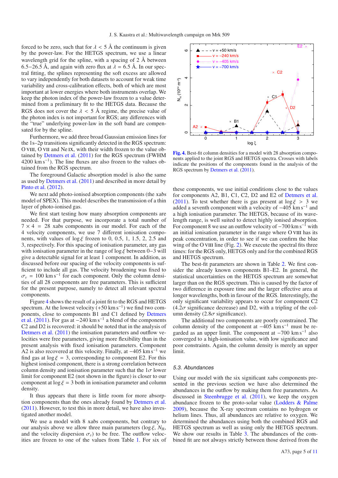forced to be zero, such that for  $\lambda < 5$  Å the continuum is given by the power-law. For the HETGS spectrum, we use a linear wavelength grid for the spline, with a spacing of  $2 \text{ Å}$  between 6.5−26.5 Å, and again with zero flux at  $\lambda = 6.5$  Å. In our spectral fitting, the splines representing the soft excess are allowed to vary independently for both datasets to account for weak time variability and cross-calibration effects, both of which are most important at lower energies where both instruments overlap. We keep the photon index of the power-law frozen to a value determined from a preliminary fit to the HETGS data. Because the RGS does not cover the  $\lambda < 5$  Å regime, the precise value of the photon index is not important for RGS; any differences with the "true" underlying power-law in the soft band are compensated for by the spline.

Furthermore, we add three broad Gaussian emission lines for the 1s–2p transitions significantly detected in the RGS spectrum: O VIII, O VII and Ne IX, with their width frozen to the value obtained by Detmers et al. (2011) for the RGS spectrum (FWHM 4200 km s−1). The line fluxes are also frozen to the values obtained from the RGS spectrum.

The foreground Galactic absorption model is also the same as used by Detmers et al. (2011) and described in more detail by Pinto et al. (2012).

We next add photo-ionised absorption components (the xabs model of SPEX). This model describes the transmission of a thin layer of photo-ionised gas.

We first start testing how many absorption components are needed. For that purpose, we incorporate a total number of  $7 \times 4 = 28$  xabs components in our model. For each of the 4 velocity components, we use 7 different ionisation components, with values of  $\log \xi$  frozen to 0, 0.5, 1, 1.5, 2, 2.5 and 3, respectively. For this spacing of ionisation parameter, any gas with ionisation parameter in the range of log  $\xi$  between 0–3 will give a detectable signal for at least 1 component. In addition, as discussed before our spacing of the velocity components is sufficient to include all gas. The velocity broadening was fixed to  $\sigma_v$  = 100 km s<sup>-1</sup> for each component. Only the column densities of all 28 components are free parameters. This is sufficient for the present purpose, namely to detect all relevant spectral components.

Figure 4 shows the result of a joint fit to the RGS and HETGS spectrum. At the lowest velocity  $(+50 \text{ km s}^{-1})$  we find two components, close to components B1 and C1 defined by Detmers et al. (2011). For gas at  $-240 \text{ km s}^{-1}$  a blend of the components C2 and D2 is recovered: it should be noted that in the analysis of Detmers et al. (2011) the ionisation parameters and outflow velocities were free parameters, giving more flexibility than in the present analysis with fixed ionisation parameters. Component A2 is also recovered at this velocity. Finally, at  $-405 \text{ km s}^{-1}$  we find gas at  $\log \xi = 3$ , corresponding to component E2. For this highest ionised component, there is a strong correlation between column density and ionisation parameter such that the  $1\sigma$  lower limit for component E2 (not shown in the figure) is closer to our component at  $\log \xi = 3$  both in ionisation parameter and column density.

It thus appears that there is little room for more absorption components than the ones already found by Detmers et al. (2011). However, to test this in more detail, we have also investigated another model.

We use a model with 8 xabs components, but contrary to our analysis above we allow three main parameters ( $\log \xi$ ,  $N_{\rm H}$ , and the velocity dispersion  $\sigma_v$ ) to be free. The outflow velocities are frozen to one of the values from Table 1. For six of



**[Fig. 4.](http://dexter.edpsciences.org/applet.php?DOI=10.1051/0004-6361/201424662&pdf_id=4)** Best-fit column densities for a model with 28 absorption components applied to the joint RGS and HETGS spectra. Crosses with labels indicate the positions of the components found in the analysis of the RGS spectrum by Detmers et al. (2011).

these components, we use initial conditions close to the values for components A2, B1, C1, C2, D2 and E2 of Detmers et al. (2011). To test whether there is gas present at  $\log \xi > 3$  we added a seventh component with a velocity of  $-405$  km s<sup>-1</sup> and a high ionisation parameter. The HETGS, because of its wavelength range, is well suited to detect highly ionised absorption. For component 8 we use an outflow velocity of  $-700 \text{ km s}^{-1}$  with an initial ionisation parameter in the range where O VIII has its peak concentration, in order to see if we can confirm the blue wing of the O VIII line (Fig. 2). We execute the spectral fits three times: for the RGS only, HETGS only and for the combined RGS and HETGS spectrum.

The best-fit parameters are shown in Table 2. We first consider the already known components B1–E2. In general, the statistical uncertainties on the HETGS spectrum are somewhat larger than on the RGS spectrum. This is caused by the factor of two difference in exposure time and the larger effective area at longer wavelengths, both in favour of the RGS. Interestingly, the only significant variability appears to occur for component C2  $(4.2\sigma$  significance decrease) and D2, with a tripling of the column density  $(2.8\sigma \text{ significance}).$ 

The additional two components are poorly constrained. The column density of the component at  $-405 \text{ km s}^{-1}$  must be regarded as an upper limit. The component at  $-700 \text{ km s}^{-1}$  also converged to a high-ionisation value, with low significance and poor constraints. Again, the column density is merely an upper limit.

### 5.3. Abundances

Using our model with the six significant xabs components presented in the previous section we have also determined the abundances in the outflow by making them free parameters. As discussed in Steenbrugge et al. (2011), we keep the oxygen abundance frozen to the proto-solar value (Lodders & Palme 2009), because the X-ray spectrum contains no hydrogen or helium lines. Thus, all abundances are relative to oxygen. We determined the abundances using both the combined RGS and HETGS spectrum as well as using only the HETGS spectrum. We show our results in Table 3. The abundances of the combined fit are not always strictly between those derived from the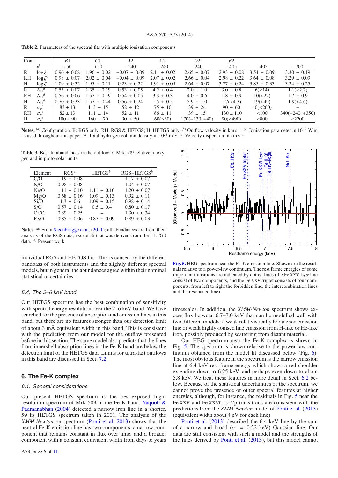| <b>Table 2.</b> Parameters of the spectral fits with multiple ionisation components |  |  |
|-------------------------------------------------------------------------------------|--|--|
|-------------------------------------------------------------------------------------|--|--|

| $Conf^a$  |                           | B1              | C <sub>1</sub>    | A2               | C <sub>2</sub>     | D2               | E <sub>2</sub>  |                     |                   |
|-----------|---------------------------|-----------------|-------------------|------------------|--------------------|------------------|-----------------|---------------------|-------------------|
|           |                           | $+50$           | $+50$             | $-240$           | $-240$             | $-240$           | $-405$          | $-405$              | $-700$            |
| R         | $\log \xi^c$              | $0.96 \pm 0.08$ | $\pm$ 0.02<br>.96 | $-0.07 \pm 0.09$ | $\pm$ 0.02<br>2.11 | $2.65 \pm 0.07$  | $2.93 \pm 0.08$ | $3.54 \pm 0.09$     | $3.30 \pm 0.19$   |
| RH        | $\log \xi^c$              | $0.98 \pm 0.07$ | $2.02 \pm 0.04$   | $-0.04 \pm 0.09$ | $2.07 \pm 0.02$    | $2.66 \pm 0.04$  | $2.98 \pm 0.22$ | $3.64 \pm 0.08$     | $3.29 \pm 0.09$   |
| H         | $\log \xi^c$              | $1.09 \pm 0.32$ | $1.95 \pm 0.11$   | $0.23 \pm 0.22$  | $1.91 \pm 0.09$    | $2.64 \pm 0.07$  | $3.27 \pm 0.24$ | $3.85 \pm 0.33$     | $3.24 \pm 0.25$   |
| R         | $N_{\rm H}$ <sup>d</sup>  | $0.53 \pm 0.07$ | $.35 \pm 0.19$    | $0.53 \pm 0.05$  | $4.2 \pm 0.4$      | $2.0 \pm 1.0$    | $3.0 \pm 0.8$   | 6(<14)              | 1.1(<2.7)         |
| <b>RH</b> | $N_{\rm H}$ <sup>d</sup>  | $0.56 \pm 0.06$ | $1.57 \pm 0.19$   | $0.54 \pm 0.05$  | $3.3 \pm 0.3$      | $4.0 \pm 0.6$    | $1.8 \pm 0.9$   | 10(<22)             | $1.7 \pm 0.9$     |
| H         | $N_{\rm H}$ <sup>d</sup>  | $0.70 \pm 0.33$ | $1.57 \pm 0.44$   | $0.56 \pm 0.24$  | $1.5 \pm 0.5$      | $5.9 \pm 1.0$    | $1.7(\leq 4.3)$ | 19( <sub>49</sub> ) | 1.9(< 4.6)        |
| R         | $\sigma_{\rm n}^{\ e}$    | $83 \pm 13$     | $113 \pm 15$      | $52 \pm 12$      | $75 \pm 10$        | $39 \pm 24$      | $90 \pm 60$     | 40(<260)            |                   |
| RH        | $\sigma_{\rm n}^{\rm e}$  | $82 \pm 13$     | $111 \pm 14$      | $52 \pm 11$      | $86 \pm 11$        | $39 \pm 15$      | $130 \pm 110$   | < 100               | $340(-240, +350)$ |
| H         | $\sigma_v^{\,\,\epsilon}$ | $100 \pm 90$    | $160 \pm 70$      | $90 \pm 50$      | 60(>30)            | $170(-130, +40)$ | 90(< 490)       | < 800               | $<$ 2200          |
|           |                           |                 |                   |                  |                    |                  |                 |                     |                   |

**Notes.** (*a*) Configuration. R: RGS only; RH: RGS & HETGS; H: HETGS only. (*b*) Outflow velocity in km s−1. (*c*) Ionisation parameter in 10−<sup>9</sup> W m as used throughout this paper. (*d*) Total hydrogen column density in 1024 m−2. (*e*) Velocity dispersion in km s−1.

Table 3. Best-fit abundances in the outflow of Mrk 509 relative to oxygen and in proto-solar units.

| Element | $RGS^a$         | $HETGS^b$       | $RGS + HETGS^b$ |
|---------|-----------------|-----------------|-----------------|
| C/O     | $1.19 \pm 0.08$ |                 | $1.17 \pm 0.07$ |
| N/O     | $0.98 \pm 0.08$ |                 | $1.04 \pm 0.07$ |
| Ne/O    | $1.11 \pm 0.10$ | $1.11 \pm 0.10$ | $1.20 \pm 0.07$ |
| Mg/O    | $0.68 \pm 0.16$ | $1.09 \pm 0.13$ | $0.92 \pm 0.11$ |
| Si/O    | $1.3 \pm 0.6$   | $1.09 \pm 0.15$ | $0.98 \pm 0.14$ |
| S/O     | $0.57 \pm 0.14$ | $0.5 \pm 0.4$   | $0.80 \pm 0.17$ |
| Ca/O    | $0.89 \pm 0.25$ |                 | $1.30 \pm 0.34$ |
| Fe/O    | $0.85 \pm 0.06$ | $0.87 \pm 0.09$ | $0.89 \pm 0.03$ |
|         |                 |                 |                 |

**Notes.** (*a*) From Steenbrugge et al. (2011); all abundances are from their analysis of the RGS data, except Si that was derived from the LETGS data. (*b*) Present work.

individual RGS and HETGS fits. This is caused by the different bandpass of both instruments and the slightly different spectral models, but in general the abundances agree within their nominal statistical uncertainties.

### 5.4. The 2–6 keV band

Our HETGS spectrum has the best combination of sensitivity with spectral energy resolution over the 2–6 keV band. We have searched for the presence of absorption and emission lines in this band, but there are no features stronger than our detection limit of about 3 mÅ equivalent width in this band. This is consistent with the prediction from our model for the outflow presented before in this section. The same model also predicts that the lines from innershell absorption lines in the Fe-K band are below the detection limit of the HETGS data. Limits for ultra-fast outflows in this band are discussed in Sect. 7.2.

# **6. The Fe-K complex**

#### 6.1. General considerations

Our present HETGS spectrum is the best-exposed highresolution spectrum of Mrk 509 in the Fe-K band. Yaqoob & Padmanabhan (2004) detected a narrow iron line in a shorter, 59 ks HETGS spectrum taken in 2001. The analysis of the *XMM-Newton* pn spectrum (Ponti et al. 2013) shows that the neutral Fe-K emission line has two components: a narrow component that remains constant in flux over time, and a broader component with a constant equivalent width from days to years



**[Fig. 5.](http://dexter.edpsciences.org/applet.php?DOI=10.1051/0004-6361/201424662&pdf_id=5)** HEG spectrum near the Fe-K emission line. Shown are the residuals relative to a power-law continuum. The rest frame energies of some important transitions are indicated by dotted lines (the Fe XXV Ly $\alpha$  line consist of two components, and the Fe xxv triplet consists of four components, from left to right the forbidden line, the intercombination lines and the resonance line).

timescales. In addition, the *XMM-Newton* spectrum shows excess flux between 6.7–7.0 keV that can be modelled well with two different models: a weak relativistically broadened emission line or weak highly-ionised line emission from H-like or He-like iron, possibly produced by scattering from distant material.

Our HEG spectrum near the Fe-K complex is shown in Fig. 5. The spectrum is shown relative to the power-law continuum obtained from the model fit discussed below (Fig. 6). The most obvious feature in the spectrum is the narrow emission line at 6.4 keV rest frame energy which shows a red shoulder extending down to 6.25 keV, and perhaps even down to about 5.8 keV. We treat these features in more detail in Sect. 6.2 below. Because of the statistical uncertainties of the spectrum, we cannot prove the presence of other spectral features at higher energies, although, for instance, the residuals in Fig. 5 near the Fe xxv and Fe xxvi 1s−2p transitions are consistent with the predictions from the *XMM-Newton* model of Ponti et al. (2013) (equivalent width about 4 eV for each line).

Ponti et al. (2013) described the 6.4 keV line by the sum of a narrow and broad ( $\sigma$  = 0.22 keV) Gaussian line. Our data are still consistent with such a model and the strengths of the lines derived by Ponti et al. (2013), but this model cannot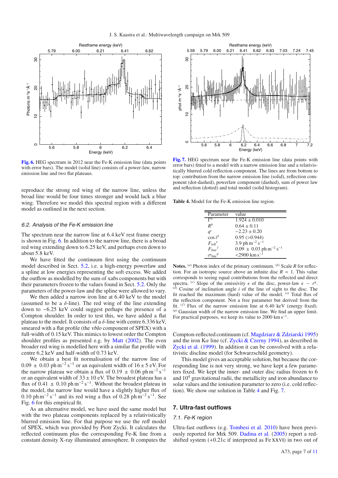

**[Fig. 6.](http://dexter.edpsciences.org/applet.php?DOI=10.1051/0004-6361/201424662&pdf_id=6)** HEG spectrum in 2012 near the Fe-K emission line (data points with error bars). The model (solid line) consists of a power-law, narrow emission line and two flat plateaus.

reproduce the strong red wing of the narrow line, unless the broad line would be four times stronger and would lack a blue wing. Therefore we model this spectral region with a different model as outlined in the next section.

## 6.2. Analysis of the Fe-K emission line

The spectrum near the narrow line at 6.4 keV rest frame energy is shown in Fig. 6. In addition to the narrow line, there is a broad red wing extending down to 6.25 keV, and perhaps even down to about 5.8 keV.

We have fitted the continuum first using the continuum model described in Sect. 5.2, i.e. a high-energy powerlaw and a spline at low energies representing the soft excess. We added the outflow as modelled by the sum of xabs components but with their parameters frozen to the values found in Sect. 5.2. Only the parameters of the power-law and the spline were allowed to vary.

We then added a narrow iron line at 6.40 keV to the model (assumed to be a  $\delta$ -line). The red wing of the line extending down to ∼6.25 keV could suggest perhaps the presence of a Compton shoulder. In order to test this, we have added a flat plateau to the model. It consists of a  $\delta$ -line with centre 6.336 keV. smeared with a flat profile (the vblo component of SPEX) with a full-width of 0.15 keV. This mimics to lowest order the Compton shoulder profiles as presented e.g. by Matt (2002). The even broader red wing is modelled here with a similar flat profile with centre 6.2 keV and half-width of 0.73 keV.

We obtain a best fit normalisation of the narrow line of  $0.09 \pm 0.03$  ph m<sup>-2</sup> s<sup>-1</sup> or an equivalent width of 16 ± 5 eV. For the narrow plateau we obtain a flux of 0.19  $\pm$  0.06 ph m<sup>-2</sup> s<sup>-1</sup> or an equivalent width of  $33 \pm 10$  eV. The broadest plateau has a flux of  $0.41 \pm 0.10$  ph m<sup>-2</sup> s<sup>-1</sup>. Without the broadest plateau in the model, the narrow line would have a slightly higher flux of 0.10 ph m<sup>-2</sup> s<sup>-1</sup> and its red wing a flux of 0.28 ph m<sup>-2</sup> s<sup>-1</sup>. See Fig. 6 for this empirical fit.

As an alternative model, we have used the same model but with the two plateau components replaced by a relativistically blurred emission line. For that purpose we use the refl model of SPEX, which was provided by Piotr Zycki. It calculates the reflected continuum plus the corresponding Fe-K line from a constant density X-ray illuminated atmosphere. It computes the



**[Fig. 7.](http://dexter.edpsciences.org/applet.php?DOI=10.1051/0004-6361/201424662&pdf_id=7)** HEG spectrum near the Fe-K emission line (data points with error bars) fitted to a model with a narrow emission line and a relativistically blurred cold reflection component. The lines are from bottom to top: contribution from the narrow emission line (solid), reflection component (dot-dashed), powerlaw component (dashed), sum of power law and reflection (dotted) and total model (solid histogram).

**Table 4.** Model for the Fe-K emission line region.

| Parameter               | value                                              |
|-------------------------|----------------------------------------------------|
| $\Gamma^a$              | $1.924 \pm 0.010$                                  |
| $R^b$                   | $0.64 \pm 0.11$                                    |
| $q^c$                   | $-2.23 \pm 0.20$                                   |
| $\cos i^d$              | $0.95$ ( $>0.944$ )                                |
| $F_{\text{refl}}^e$     | 3.9 ph $m^{-2}$ s <sup>-1</sup>                    |
| $F_{\rm line}{}^f$      | $0.09 \pm 0.03$ ph m <sup>-2</sup> s <sup>-1</sup> |
| $\sigma_{\rm line}{}^g$ | $<$ 2900 km s <sup>-1</sup>                        |

**Notes.** (*a*) Photon index of the primary continuum. (*b*) Scale *R* for reflection. For an isotropic source above an infinite disc  $R = 1$ . This value corresponds to seeing equal contributions from the reflected and direct spectra. (*c*) Slope of the emissivity  $\epsilon$  of the disc, power-law  $\epsilon \sim r^q$ . (*d*) Cosine of inclination angle *i* of the line of sight to the disc. The fit reached the maximum (hard) value of the model. (*e*) Total flux of the reflection component. Not a free parameter but derived from the fit. (*f*) Flux of the narrow emission line at 6.40 keV (energy fixed).  $(9)$  Gaussian width of the narrow emission line. We find an upper limit. For practical purposes, we keep its value to 2000 km s<sup> $-1$ </sup>.

Compton-reflected continuum (cf. Magdziarz & Zdziarski 1995) and the iron K $\alpha$  line (cf. Zycki & Czerny 1994), as described in Zycki et al. (1999). In addition it can be convolved with a relativistic discline model (for Schwarzschild geometry).

This model gives an acceptable solution, but because the corresponding line is not very strong, we have kept a few parameters fixed. We kept the inner- and outer disc radius frozen to 6 and  $10<sup>4</sup>$  gravitational radii, the metallicity and iron abundance to solar values and the ionisation parameter to zero (i.e. cold reflection). We show our solution in Table 4 and Fig. 7.

### **7. Ultra-fast outflows**

## 7.1. Fe-K region

Ultra-fast outflows (e.g. Tombesi et al. 2010) have been previously reported for Mrk 509. Dadina et al. (2005) report a redshifted system (+0.21c if interpreted as Fe xxvi) in two out of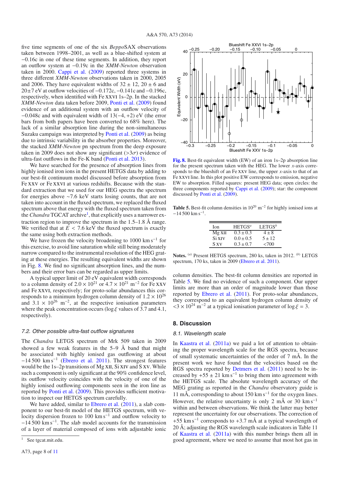five time segments of one of the six *Beppo*SAX observations taken between 1998–2001, as well as a blue-shifted system at <sup>−</sup>0.16c in one of these time segments. In addition, they report an outflow system at <sup>−</sup>0.19c in the *XMM-Newton* observation taken in 2000. Cappi et al. (2009) reported three systems in three different *XMM-Newton* observations taken in 2000, 2005 and 2006. They have equivalent widths of  $32 \pm 12$ ,  $20 \pm 6$  and  $20±7$  eV at outflow velocities of  $-0.172c$ ,  $-0.141c$  and  $-0.196c$ , respectively, when identified with Fe xxvi 1s–2p. In the stacked *XMM-Newton* data taken before 2009, Ponti et al. (2009) found evidence of an additional system with an outflow velocity of <sup>−</sup>0.048c and with equivalent width of 13(−4, <sup>+</sup>2) eV (the error bars from both papers have been converted to 68% here). The lack of a similar absorption line during the non-simultaneous Suzaku campaign was interpreted by Ponti et al. (2009) as being due to intrinsic variability in the absorber properties. Moreover, the stacked *XMM-Newton* pn spectrum from the deep exposure taken in 2009 does not show any significant ( $>3\sigma$ ) evidence of ultra-fast outflows in the Fe-K band (Ponti et al. 2013).

We have searched for the presence of absorption lines from highly ionised iron ions in the present HETGS data by adding to our best-fit continuum model discussed before absorption from Fe xxv or Fe xxvi at various redshifts. Because with the standard extraction that we used for our HEG spectra the spectrum for energies above ∼7.6 keV starts losing counts, that are not taken into account in the fluxed spectrum, we replaced the fluxed spectrum above that energy with the fluxed spectrum taken from the *Chandra* TGCAT archive<sup>1</sup>, that explicitly uses a narrower extraction region to improve the spectrum in the 1.5–1.8 Å range. We verified that at  $E < 7.6$  keV the fluxed spectrum is exactly the same using both extraction methods.

We have frozen the velocity broadening to  $1000 \text{ km s}^{-1}$  for this exercise, to avoid line saturation while still being moderately narrow compared to the instrumental resolution of the HEG grating at these energies. The resulting equivalent widths are shown in Fig. 8. We find no significant absorption lines, and the numbers and their error bars can be regarded as upper limits.

A typical upper limit of 20 eV equivalent width corresponds to a column density of  $2.0 \times 10^{21}$  or  $4.7 \times 10^{21}$  m<sup>-2</sup> for Fe XXV and Fe xxvi, respectively; for proto-solar abundances this corresponds to a minimum hydrogen column density of  $1.2 \times 10^{26}$ and  $3.1 \times 10^{26}$  m<sup>-2</sup>, at the respective ionisation parameters where the peak concentration occurs ( $\log \xi$  values of 3.7 and 4.1, respectively).

# 7.2. Other possible ultra-fast outflow signatures

The *Chandra* LETGS spectrum of Mrk 509 taken in 2009 showed a few weak features in the  $5-9$  Å band that might be associated with highly ionised gas outflowing at about −14 500 km s−<sup>1</sup> (Ebrero et al. 2011). The strongest features would be the 1s–2p transitions of Mg XII, Si XIV and S XV. While such a component is only significant at the 90% confidence level, its outflow velocity coincides with the velocity of one of the highly ionised outflowing components seen in the iron line as reported by Ponti et al. (2009). This provides sufficient motivation to inspect our HETGS spectrum carefully.

We have added, similar to Ebrero et al. (2011), a slab component to our best-fit model of the HETGS spectrum, with velocity dispersion frozen to 100 km s<sup> $-1$ </sup> and outflow velocity to <sup>−</sup>14 500 km s−1. The slab model accounts for the transmission of a layer of material composed of ions with adjustable ionic



**[Fig. 8.](http://dexter.edpsciences.org/applet.php?DOI=10.1051/0004-6361/201424662&pdf_id=8)** Best-fit equivalent width (EW) of an iron 1s–2p absorption line for the present spectrum taken with the HEG. The lower *x*-axis corresponds to the blueshift of an Fe xxv line, the upper *x*-axis to that of an Fe xxvi line. In this plot positive EW corresponds to emission, negative EW to absorption. Filled squares: present HEG data; open circles: the three components reported by Cappi et al. (2009); star: the component discussed by Ponti et al. (2009).

**Table 5.** Best-fit column densities in  $10^{20}$  m<sup>-2</sup> for highly ionised ions at  $-14$  500 km s<sup>-1</sup>.

| LETGS <sup>b</sup> |
|--------------------|
| $4 \pm 8$          |
| $5 \pm 12$         |
| ${<}700$           |
|                    |

**Notes.** (*a*) Present HETGS spectrum, 280 ks, taken in 2012. (*b*) LETGS spectrum, 170 ks, taken in 2009 (Ebrero et al. 2011).

column densities. The best-fit column densities are reported in Table 5. We find no evidence of such a component. Our upper limits are more than an order of magnitude lower than those reported by Ebrero et al. (2011). For proto-solar abundances, they correspond to an equivalent hydrogen column density of  $<$ 3 × 10<sup>24</sup> m<sup>-2</sup> at a typical ionisation parameter of log  $\xi = 3$ .

# **8. Discussion**

# 8.1. Wavelength scale

In Kaastra et al. (2011a) we paid a lot of attention to obtaining the proper wavelength scale for the RGS spectra, because of small systematic uncertainties of the order of 7 mÅ. In the present work we have found that the velocities based on the RGS spectra reported by Detmers et al. (2011) need to be increased by  $+55 \pm 21$  km s<sup>-1</sup> to bring them into agreement with the HETGS scale. The absolute wavelength accuracy of the MEG grating as reported in the *Chandra* observatory guide is 11 mÅ, corresponding to about 150 km s<sup>-1</sup> for the oxygen lines. However, the relative uncertainty is only 2 mÅ or 30 km s<sup>-1</sup> within and between observations. We think the latter may better represent the uncertainty for our observations. The correction of  $+55$  km s<sup>-1</sup> corresponds to  $+3.7$  mÅ at a typical wavelength of 20 Å; adjusting the RGS wavelength scale indicators in Table 11 of Kaastra et al. (2011a) with this number brings them all in good agreement, where we need to assume that most hot gas in

See tgcat.mit.edu.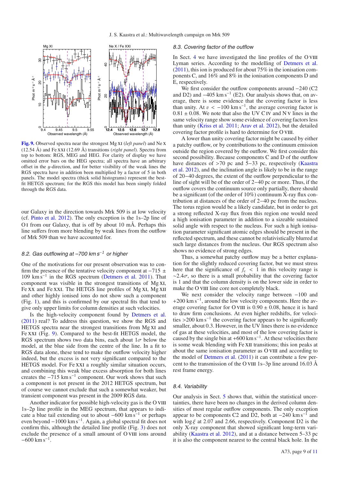

**[Fig. 9.](http://dexter.edpsciences.org/applet.php?DOI=10.1051/0004-6361/201424662&pdf_id=9)** Observed spectra near the strongest Mg xi (*left panel*) and Ne x (12.54 Å) and Fe xxi (12.69 Å) transitions (*right panel*). Spectra from top to bottom: RGS, MEG and HEG. For clarity of display we have omitted error bars on the HEG spectra; all spectra have an arbitrary <sup>o</sup>ffset in the y-direction, and for better visibility of the weak lines the RGS spectra have in addition been multiplied by a factor of 5 in both panels. The model spectra (thick solid histograms) represent the bestfit HETGS spectrum; for the RGS this model has been simply folded through the RGS data.

our Galaxy in the direction towards Mrk 509 is at low velocity (cf. Pinto et al. 2012). The only exception is the 1s–2p line of O i from our Galaxy, that is off by about 10 mÅ. Perhaps this line suffers from more blending by weak lines from the outflow of Mrk 509 than we have accounted for.

# 8.2. Gas outflowing at –700 km s<sup>-1</sup> or higher

One of the motivations for our present observation was to confirm the presence of the tentative velocity component at  $-715 \pm 100$ 109 km s−<sup>1</sup> in the RGS spectrum (Detmers et al. 2011). That component was visible in the strongest transitions of Mg xi, Fe XX and Fe XXI. The HETGS line profiles of Mg XI, Mg XII and other highly ionised ions do not show such a component (Fig. 1), and this is confirmed by our spectral fits that tend to give only upper limits for column densities at such velocities.

Is the high-velocity component found by Detmers et al. (2011) real? To address this question, we show the RGS and HETGS spectra near the strongest transitions from Mg XI and Fe xxi (Fig. 9). Compared to the best-fit HETGS model, the RGS spectrum shows two data bins, each about  $1\sigma$  below the model, at the blue side from the centre of the line. In a fit to RGS data alone, these tend to make the outflow velocity higher indeed, but the excess is not very significant compared to the HETGS model. For Fe xxi a roughly similar situation occurs, and combining this weak blue excess absorption for both lines creates the  $-715 \text{ km s}^{-1}$  component. Our work shows that such a component is not present in the 2012 HETGS spectrum, but of course we cannot exclude that such a somewhat weaker, but transient component was present in the 2009 RGS data.

Another indicator for possible high-velocity gas is the O VIII 1s–2p line profile in the MEG spectrum, that appears to indicate a blue tail extending out to about  $-600 \text{ km s}^{-1}$  or perhaps even beyond −1000 km s−1. Again, a global spectral fit does not confirm this, although the detailed line profile (Fig. 3) does not exclude the presence of a small amount of O vIII ions around  $-600$  km s<sup>-1</sup>.

# 8.3. Covering factor of the outflow

In Sect. 4 we have investigated the line profiles of the O VIII Lyman series. According to the modelling of Detmers et al. (2011), this ion is produced for about 75% in the ionisation components C, and 16% and 8% in the ionisation components D and E, respectively.

We first consider the outflow components around −240 (C2 and D2) and  $-405 \text{ km s}^{-1}$  (E2). Our analysis shows that, on average, there is some evidence that the covering factor is less than unity. At  $v < -100 \text{ km s}^{-1}$ , the average covering factor is  $0.81 + 0.08$ . We note that also the UV C IV and N V lines in the  $0.81 \pm 0.08$ . We note that also the UV C<sub>IV</sub> and N<sub>V</sub> lines in the same velocity range show some evidence of covering factors less than unity (Kriss et al. 2011; Arav et al. 2012), but the detailed covering factor profile is hard to determine for O VIII.

A lower than unity covering factor might be caused by either a patchy outflow, or by contributions to the continuum emission outside the region covered by the outflow. We first consider this second possibility. Because components C and D of the outflow have distances of >70 pc and 5−33 pc, respectively (Kaastra et al. 2012), and the inclination angle is likely to be in the range of 20−40 degrees, the extent of the outflow perpendicular to the line of sight will be of the order of 2−40 pc or more. Thus, if the outflow covers the continuum source only partially, there should be a significant (of the order of 10%) continuum X-ray flux contribution at distances of the order of 2−40 pc from the nucleus. The torus region would be a likely candidate, but in order to get a strong reflected X-ray flux from this region one would need a high ionisation parameter in addition to a sizeable sustained solid angle with respect to the nucleus. For such a high ionisation parameter significant atomic edges should be present in the reflected spectrum, and these cannot be relativistically blurred at such large distances from the nucleus. Our RGS spectrum also shows no evidence of strong edges.

Thus, a somewhat patchy outflow may be a better explanation for the slightly reduced covering factor, but we must stress here that the significance of  $f_c < 1$  in this velocity range is  $\sim$ 2.4 $\sigma$ , so there is a small probability that the covering factor is 1 and that the column density is on the lower side in order to make the O VIII line core not completely black.

We next consider the velocity range between −100 and  $+200$  km s<sup>-1</sup>, around the low velocity components. Here the average covering factor for O VIII is  $0.90 \pm 0.08$ , hence it is hard to draw firm conclusions. At even higher redshifts, for velocities >200 km s<sup> $-1$ </sup> the covering factor appears to be significantly smaller, about 0.3. However, in the UV lines there is no evidence of gas at these velocities, and most of the low covering factor is caused by the single bin at  $+600 \text{ km s}^{-1}$ . At these velocities there is some weak blending with Fe XII transitions; this ion peaks at about the same ionisation parameter as O VIII and according to the model of Detmers et al. (2011) it can contribute a few percent to the transmission of the O vIII 1s–3p line around 16.03  $\AA$ rest frame energy.

## 8.4. Variability

Our analysis in Sect. 5 shows that, within the statistical uncertainties, there have been no changes in the derived column densities of most regular outflow components. The only exception appear to be components C2 and D2, both at  $-240 \text{ km s}^{-1}$  and with  $\log \xi$  at 2.07 and 2.66, respectively. Component D2 is the only X-ray component that showed significant long-term variability (Kaastra et al. 2012), and at a distance between 5–33 pc it is also the component nearest to the central black hole. In the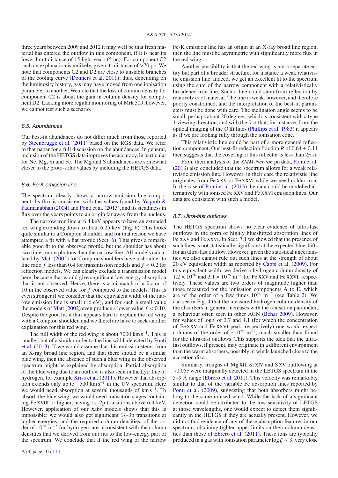three years between 2009 and 2012 it may well be that fresh material has entered the outflow in this component, if it is near its lower limit distance of 15 light years (5 pc). For component C2 such an explanation is unlikely, given its distance of >70 pc. We note that components C2 and D2 are close to unstable branches of the cooling curve (Detmers et al. 2011); thus, depending on the luminosity history, gas may have moved from one ionisation parameter to another. We note that the loss of column density for component C2 is about the gain in column density for component D2. Lacking more regular monitoring of Mrk 509, however, we cannot test such a scenario.

# 8.5. Abundances

Our best-fit abundances do not differ much from those reported by Steenbrugge et al. (2011) based on the RGS data. We refer to that paper for a full discussion on the abundances. In general, inclusion of the HETGS data improves the accuracy, in particular for Ne, Mg, Si and Fe. The Mg and S abundances are somewhat closer to the proto-solar values by including the HETGS data.

# 8.6. Fe-K emission line

The spectrum clearly shows a narrow emission line component. Its flux is consistent with the values found by Yaqoob  $\&$ Padmanabhan (2004) and Ponti et al. (2013), and its steadiness in flux over the years points to an origin far away from the nucleus.

The narrow iron line at 6.4 keV appears to have an extended red wing extending down to about 6.25 keV (Fig. 6). This looks quite similar to a Compton shoulder, and for that reason we have attempted a fit with a flat profile (Sect. 6). This gives a remarkable good fit to the observed profile, but the shoulder has about two times more photons than the narrow line. All models calculated by Matt (2002) for Compton shoulders have a shoulder to line ratio *<sup>f</sup>* less than 0.4 for transmission models and *<sup>f</sup>* < <sup>0</sup>.2 for reflection models. We can clearly exclude a transmission model here, because that would give significant low-energy absorption that is not observed. Hence, there is a mismatch of a factor of 10 in the observed value for *f* compared to the models. This is even stronger if we consider that the equivalent width of the narrow emission line is small (16 eV), and for such a small value the models of **Matt** (2002) even produce a lower value  $f < 0.10$ . Despite the good fit, it thus appears hard to explain the red wing with a Compton shoulder, and we therefore have to seek another explanation for this red wing.

The full width of the red wing is about 7000 km s<sup>-1</sup>. This is smaller, but of a similar order to the line width detected by Ponti et al. (2013). If we would assume that this emission stems from an X-ray broad line region, and that there should be a similar blue wing, then the absence of such a blue wing in the observed spectrum might be explained by absorption. Partial absorption of the blue wing due to an outflow is also seen in the  $Ly\alpha$  line of hydrogen, for example Kriss et al. (2011). However that absorption extends only up to  $-500 \text{ km s}^{-1}$  in the UV spectrum. Here we would need absorption at several thousands of  $km s^{-1}$ . To absorb the blue wing, we would need ionisation stages containing Fe XVIII or higher, having 1s–2p transitions above 6.4 keV. However, application of our xabs models shows that this is impossible: we would also get significant 1s–3p transitions at higher energies, and the required column densities, of the order of 10<sup>28</sup> m−<sup>2</sup> for hydrogen, are inconsistent with the column densities that we derived from our fits to the low-energy part of the spectrum. We conclude that if the red wing of the narrow Fe-K emission line has an origin in an X-ray broad line region, then the line must be asymmetric with significantly more flux in the red wing.

Another possibility is that the red wing is not a separate entity but part of a broader structure, for instance a weak relativistic emission line. Indeed, we get an excellent fit to the spectrum using the sum of the narrow component with a relativistically broadened iron line. Such a line could stem from reflection by relatively cool material. The line is weak, however, and therefore poorly constrained, and the interpretation of the best-fit parameters must be done with care. The inclination angle seems to be small, perhaps about 20 degrees, which is consistent with a type 1 viewing direction, and with the fact that, for instance, from the optical imaging of the O III lines (Phillips et al. 1983) it appears as if we are looking fully through the ionisation cone.

This relativistic line could be part of a more general reflection component. Our best-fit reflection fraction *R* of  $0.64 \pm 0.11$ then suggests that the covering of this reflector is less than  $2\pi$  sr.

From their analysis of the *XMM-Newton* pn data, Ponti et al. (2013) also concluded that the spectrum allows for a weak relativistic emission line. However, in their case the relativistic line originates from Fe xxv or Fe xxvi while we need colder iron. In the case of Ponti et al. (2013) the data could be modelled alternatively with ionised Fe xxv and Fe xxvi emission lines. Our data are consistent with such a model.

#### 8.7. Ultra-fast outflows

The HETGS spectrum shows no clear evidence of ultra-fast outflows in the form of highly blueshifted absorption lines of Fe xxv and Fe xxvi. In Sect. 7.1 we showed that the presence of such lines is not statistically significant at the expected blueshifts for an ultra-fast outflow. However, given the statistical uncertainties we also cannot rule out such lines at the strength of about 20 eV equivalent width as reported by Cappi et al. (2009). For this equivalent width, we derive a hydrogen column density of  $1.2 \times 10^{26}$  and  $3.1 \times 10^{26}$  m<sup>-2</sup> for Fe xxv and Fe xxvI, respectively. These values are two orders of magnitude higher than those measured for the ionisation components A to E, which are of the order of a few times  $10^{24}$  m<sup>-2</sup> (see Table 2). We can see in Fig. 4 that the measured hydrogen column density of the absorbers in general increases with the ionisation parameter, a behaviour often seen in other AGN (Behar 2009). However, for values of  $\log \xi$  of 3.7 and 4.1 (for which the concentration of Fe xxv and Fe xxvi peak, respectively) one would expect columns of the order of  $\sim 10^{25}$  m<sup>-2</sup>, much smaller than found for the ultra-fast outflows. This supports the idea that the ultrafast outflows, if present, may originate in a different environment than the warm absorbers, possibly in winds launched close to the accretion disc.

Similarly, troughs of Mg XII, Si XIV and S XV outflowing at <sup>∼</sup>0.05*<sup>c</sup>* were marginally detected in the LETGS spectrum in the 5–9 Å range (Ebrero et al. 2011). This velocity was remarkably similar to that of the variable Fe absorption lines reported by Ponti et al. (2009), suggesting that both absorbers might belong to the same ionised wind. While the lack of a significant detection could be attributed to the low sensitivity of LETGS at those wavelengths, one would expect to detect them significantly in the HETGS if they are actually present. However, we did not find evidence of any of these absorption features in our spectrum, obtaining tighter upper limits on their column densities than those of Ebrero et al. (2011). These ions are typically produced in a gas with ionisation parameter  $\log \xi \sim 3$ , very close